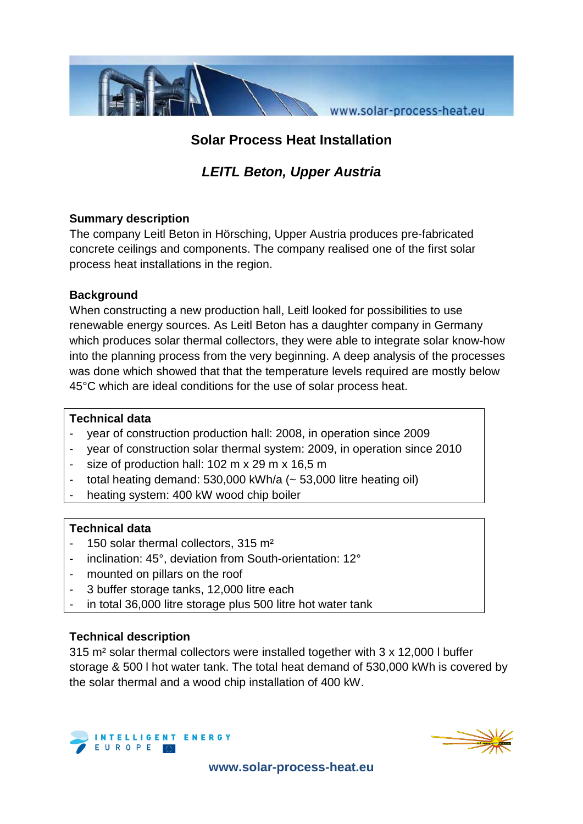

## **Solar Process Heat Installation**

# *LEITL Beton, Upper Austria*

#### **Summary description**

The company Leitl Beton in Hörsching, Upper Austria produces pre-fabricated concrete ceilings and components. The company realised one of the first solar process heat installations in the region.

#### **Background**

When constructing a new production hall, Leitl looked for possibilities to use renewable energy sources. As Leitl Beton has a daughter company in Germany which produces solar thermal collectors, they were able to integrate solar know-how into the planning process from the very beginning. A deep analysis of the processes was done which showed that that the temperature levels required are mostly below 45°C which are ideal conditions for the use of solar process heat.

#### **Technical data**

- year of construction production hall: 2008, in operation since 2009
- year of construction solar thermal system: 2009, in operation since 2010
- size of production hall:  $102 \text{ m} \times 29 \text{ m} \times 16,5 \text{ m}$
- total heating demand:  $530,000$  kWh/a  $(-53,000)$  litre heating oil)
- heating system: 400 kW wood chip boiler

## **Technical data**

- 150 solar thermal collectors, 315 m<sup>2</sup>
- inclination: 45°, deviation from South-orientation: 12°
- mounted on pillars on the roof
- 3 buffer storage tanks, 12,000 litre each
- in total 36,000 litre storage plus 500 litre hot water tank

## **Technical description**

315 m² solar thermal collectors were installed together with 3 x 12,000 l buffer storage & 500 l hot water tank. The total heat demand of 530,000 kWh is covered by the solar thermal and a wood chip installation of 400 kW.





**www.solar-process-heat.eu**